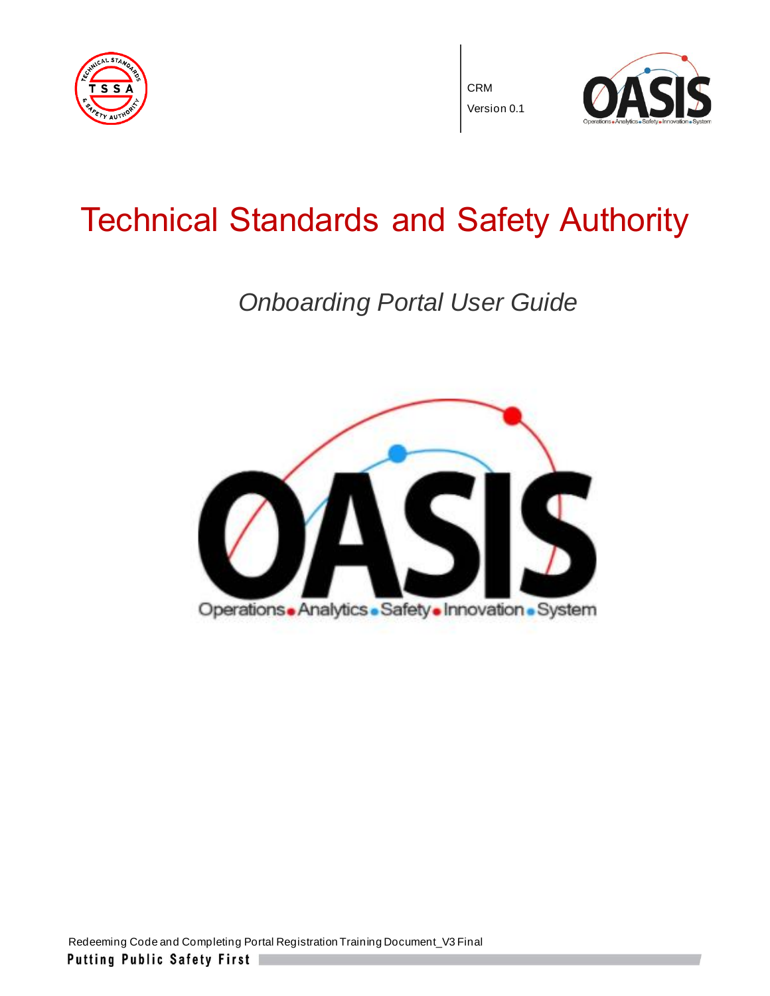



# Technical Standards and Safety Authority

## *Onboarding Portal User Guide*

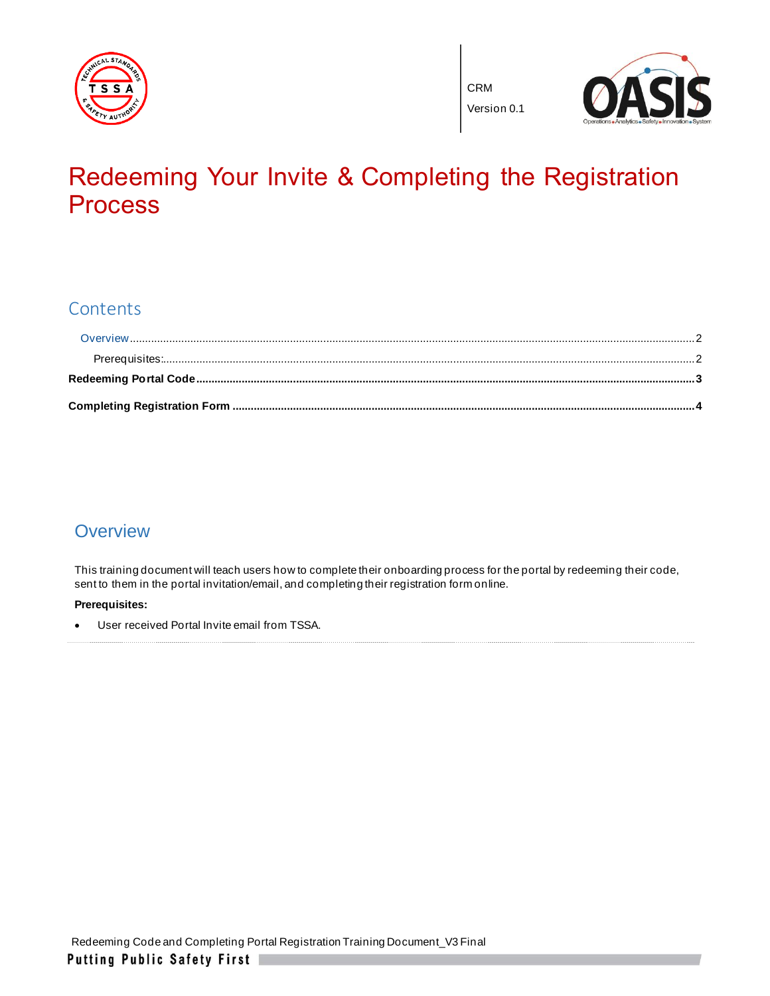



## Redeeming Your Invite & Completing the Registration Process

### **Contents**

### <span id="page-1-0"></span>**Overview**

This training document will teach users how to complete their onboarding process for the portal by redeeming their code, sent to them in the portal invitation/email, and completing their registration form online.

#### <span id="page-1-1"></span>**Prerequisites:**

• User received Portal Invite email from TSSA.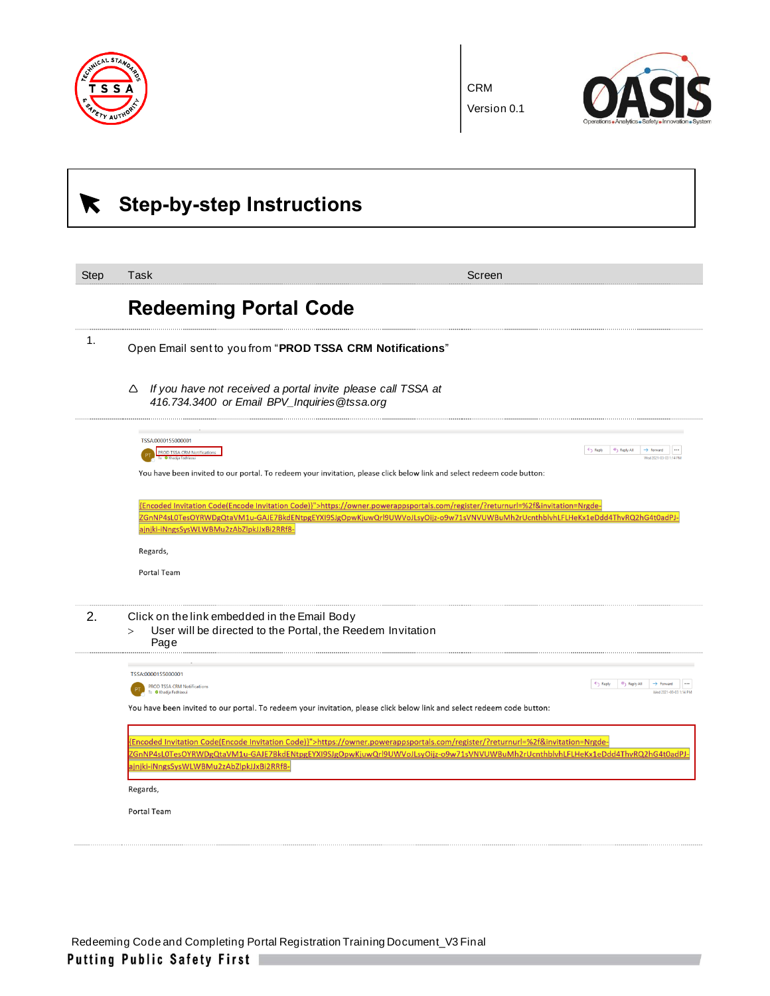



#### **Step-by-step Instructions** K

<span id="page-2-0"></span>Step Task Screen (Step Screen (Step Screen (Step Screen (Step Screen ) **Redeeming Portal Code**  1. Open Email sent to you from "**PROD TSSA CRM Notifications**" *If you have not received a portal invite please call TSSA at 416.734.3400 or Email BPV\_Inquiries@tssa.org* TSSA:0000155000001 **PT PROD TSSA CRM Notifications** You have been invited to our portal. To redeem your invitation, please click below link and select redeem code button: {Encoded Invitation Code(Encode Invitation Code)}">https://owner.powerappsportals.com/register/?returnurl=%2f&invitation=Nrgde-<u>?GnNP4sL0TesOYRWDgQtaVM1u-GAJE7BkdENtpgEYXI9SJgOpwKjuwQrl9UWVoJLsyOijz-o9w71sVNVUWBuMh2rUcnthblvhLFLHeKx1eDdd4ThvRQ2hG4t0adPJ-</u> ajnjki-iNngsSysWLWBMu2zAbZlpkJJxBi2RRf8-Regards, Portal Team 2. Click on the link embedded in the Email Body User will be directed to the Portal, the Reedem Invitation Page TSSA:0000155000001  $\begin{array}{c|c|c|c|c} \hline \leftarrow & \text{Reply All} & \rightarrow & \text{Forward} & \cdots \\ \hline \leftarrow & \text{Reply All} & & \text{Vert 2021-03-03 1:14 PM} \end{array}$ PROD TSSA CRM Notifications You have been invited to our portal. To redeem your invitation, please click below link and select redeem code button: Encoded Invitation Code(Encode Invitation Code))">https://owner.powerappsportals.com/register/?returnurl=%2f&invitation=Nrgde-<u> /GnNP4sL0TesOYRWDgQtaVM1u-GAJE7BkdENtpgEYXI9SJgOpwKjuwQrl9UWVoJLsyOijz-o9w71sVNVUWBuMh2rUcnthblvhLFLHeKx1eDdd4ThvRQ2hG4t0adPJ-</u> injki-iNngsSysWLWBMu2zAbZlpkJJxBi2RRf8-Regards, Portal Team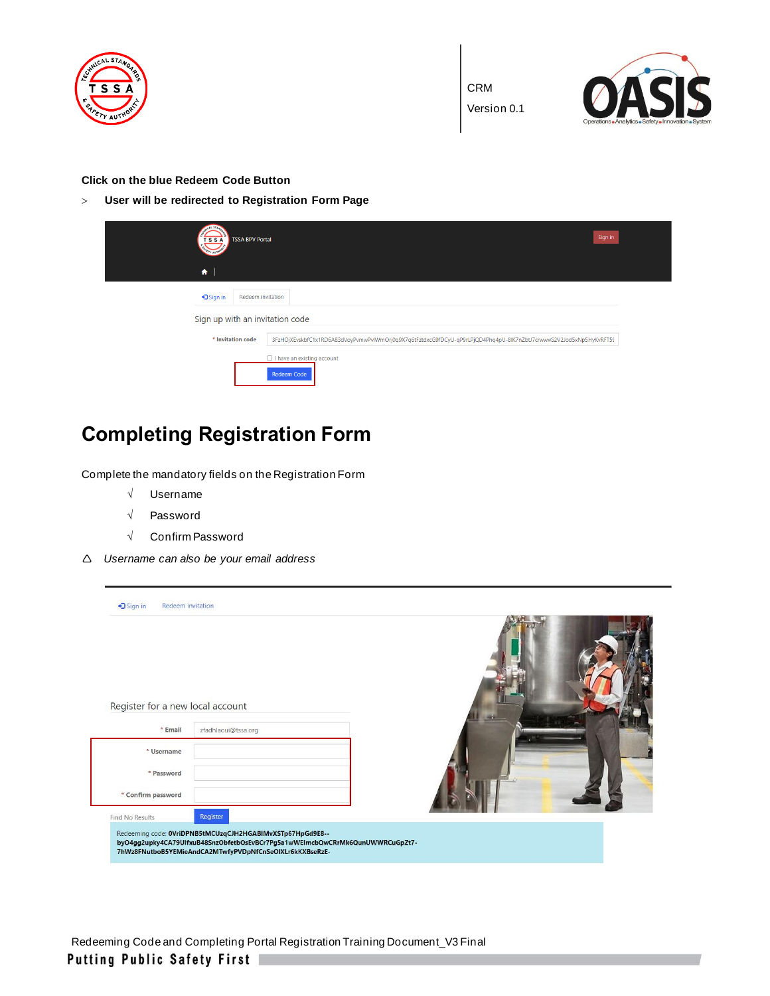



#### **Click on the blue Redeem Code Button**

**User will be redirected to Registration Form Page** 

| CAL STAN<br><b>TSSA BPV Portal</b><br><b>TSSA</b><br>$\bullet$     | Sign in                                                                                                                                                                |  |
|--------------------------------------------------------------------|------------------------------------------------------------------------------------------------------------------------------------------------------------------------|--|
| +3 Sign in<br>Redeem invitation<br>Sign up with an invitation code |                                                                                                                                                                        |  |
| * Invitation code                                                  | 3FzHOjXEvskbfC1x1RD6A83dVoyPvmwPvlWmOrj0q9X7q6tFztdxcG9fDCyU-qP9rLPjQD4Phq4pU-8lK7nZbtJ7crwwxG2V2Jod5xNp5HyKvRFT59<br>$\Box$ I have an existing account<br>Redeem Code |  |

## <span id="page-3-0"></span>**Completing Registration Form**

Complete the mandatory fields on the Registration Form

- $\sqrt{\phantom{a}}$  Username
- $\sqrt{}$  Password
- $\sqrt{ }$  Confirm Password
- *Username can also be your email address*

| DSign in<br>Redeem invitation<br>Register for a new local account |                                                                                                                                                                                                      |  |
|-------------------------------------------------------------------|------------------------------------------------------------------------------------------------------------------------------------------------------------------------------------------------------|--|
| * Email                                                           | zfadhlaoui@tssa.org                                                                                                                                                                                  |  |
| * Username                                                        |                                                                                                                                                                                                      |  |
| * Password                                                        |                                                                                                                                                                                                      |  |
| * Confirm password                                                |                                                                                                                                                                                                      |  |
| Find No Results                                                   | Register                                                                                                                                                                                             |  |
|                                                                   | Redeeming code: 0VriDPNB5tMCUzqCJH2HGABIMvXSTp67HpGd9E8--<br>byO4gg2upky4CA79UifxuB48SnzObfetbQsEvBCr7Pg5a1wWEImcbQwCRrMk6QunUWWRCuGpZt7-<br>7hWz8FNutboB5YEMieAndCA2MTwfyPVDpNfCnSeOIXLr6kKXBseRzE- |  |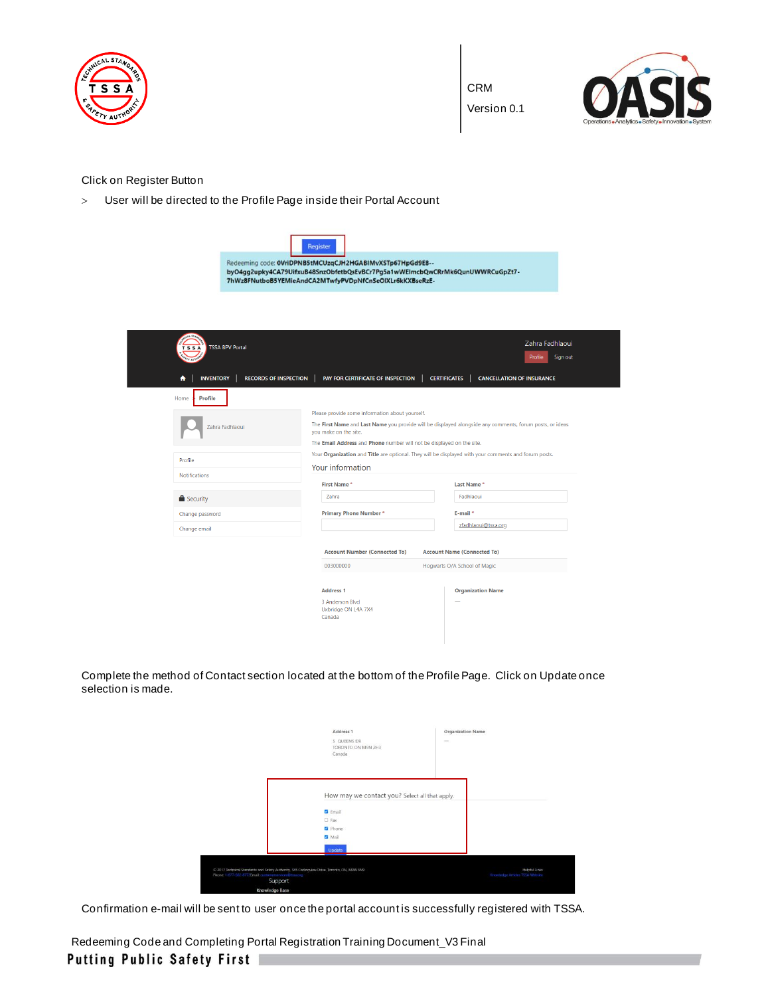



Click on Register Button

> User will be directed to the Profile Page inside their Portal Account

|                                                       | <b>Register</b>                                                                                                                                                                                      |                                                                                                          |
|-------------------------------------------------------|------------------------------------------------------------------------------------------------------------------------------------------------------------------------------------------------------|----------------------------------------------------------------------------------------------------------|
|                                                       | Redeeming code: OVriDPNB5tMCUzqCJH2HGABIMvXSTp67HpGd9E8--<br>byO4gg2upky4CA79UifxuB48SnzObfetbQsEvBCr7Pg5a1wWEImcbQwCRrMk6QunUWWRCuGpZt7-<br>7hWz8FNutboB5YEMieAndCA2MTwfyPVDpNfCnSeOIXLr6kKXBseRzE- |                                                                                                          |
|                                                       |                                                                                                                                                                                                      |                                                                                                          |
| <b>TSSA BPV Portal</b><br>SSA                         |                                                                                                                                                                                                      | Zahra Fadhlaoui<br>Profile<br>Sign out                                                                   |
| <b>INVENTORY</b><br><b>RECORDS OF INSPECTION</b><br>A | PAY FOR CERTIFICATE OF INSPECTION                                                                                                                                                                    | <b>CERTIFICATES</b><br><b>CANCELLATION OF INSURANCE</b>                                                  |
| Home<br>Profile                                       |                                                                                                                                                                                                      |                                                                                                          |
|                                                       | Please provide some information about yourself.                                                                                                                                                      |                                                                                                          |
| Zahra Fadhlaoui                                       | you make on the site.                                                                                                                                                                                | The First Name and Last Name you provide will be displayed alongside any comments, forum posts, or ideas |
|                                                       | The Email Address and Phone number will not be displayed on the site.                                                                                                                                |                                                                                                          |
| Profile                                               |                                                                                                                                                                                                      | Your Organization and Title are optional. They will be displayed with your comments and forum posts.     |
| <b>Notifications</b>                                  | Your information                                                                                                                                                                                     |                                                                                                          |
|                                                       | First Name*                                                                                                                                                                                          | Last Name*                                                                                               |
| <b>Security</b>                                       | Zahra                                                                                                                                                                                                | Fadhlaoui                                                                                                |
| Change password                                       | <b>Primary Phone Number*</b>                                                                                                                                                                         | E-mail *                                                                                                 |
| Change email                                          |                                                                                                                                                                                                      | zfadhlaoui@tssa.org                                                                                      |
|                                                       | <b>Account Number (Connected To)</b>                                                                                                                                                                 | <b>Account Name (Connected To)</b>                                                                       |
|                                                       | 003000000                                                                                                                                                                                            | Hogwarts O/A School of Magic                                                                             |
|                                                       |                                                                                                                                                                                                      |                                                                                                          |
|                                                       | <b>Address 1</b>                                                                                                                                                                                     | <b>Organization Name</b>                                                                                 |
|                                                       | 3 Anderson Blvd<br>Uxbridge ON L4A 7X4                                                                                                                                                               |                                                                                                          |

Complete the method of Contact section located at the bottom of the Profile Page. Click on Update once selection is made.

|                                                                                                                                                       | Address 1                                      | <b>Organization Name</b>                         |
|-------------------------------------------------------------------------------------------------------------------------------------------------------|------------------------------------------------|--------------------------------------------------|
|                                                                                                                                                       | 5 QUEENS DR<br>TORONTO ON M9N 2H3<br>Canada    | $\sim$                                           |
|                                                                                                                                                       |                                                |                                                  |
|                                                                                                                                                       |                                                |                                                  |
|                                                                                                                                                       | How may we contact you? Select all that apply. |                                                  |
|                                                                                                                                                       | <b>Z</b> Email                                 |                                                  |
|                                                                                                                                                       | $\Box$ Fax                                     |                                                  |
|                                                                                                                                                       | Phone                                          |                                                  |
|                                                                                                                                                       | Mail                                           |                                                  |
|                                                                                                                                                       | Update                                         |                                                  |
|                                                                                                                                                       |                                                |                                                  |
| C 2017 Technical Standards and Safety Authority. 345 Carlingview Drive, Toronto, ON, M9W 6N9<br>Phone: 1-877-682-8772Email: customerservices@tssa.org |                                                | Helpful Links<br>Knowledge Articles TSSA Website |
| Support                                                                                                                                               |                                                |                                                  |
| Knowledge Base                                                                                                                                        |                                                |                                                  |

Confirmation e-mail will be sent to user once the portal account is successfully registered with TSSA.

Redeeming Code and Completing Portal Registration Training Document\_V3 Final Putting Public Safety First